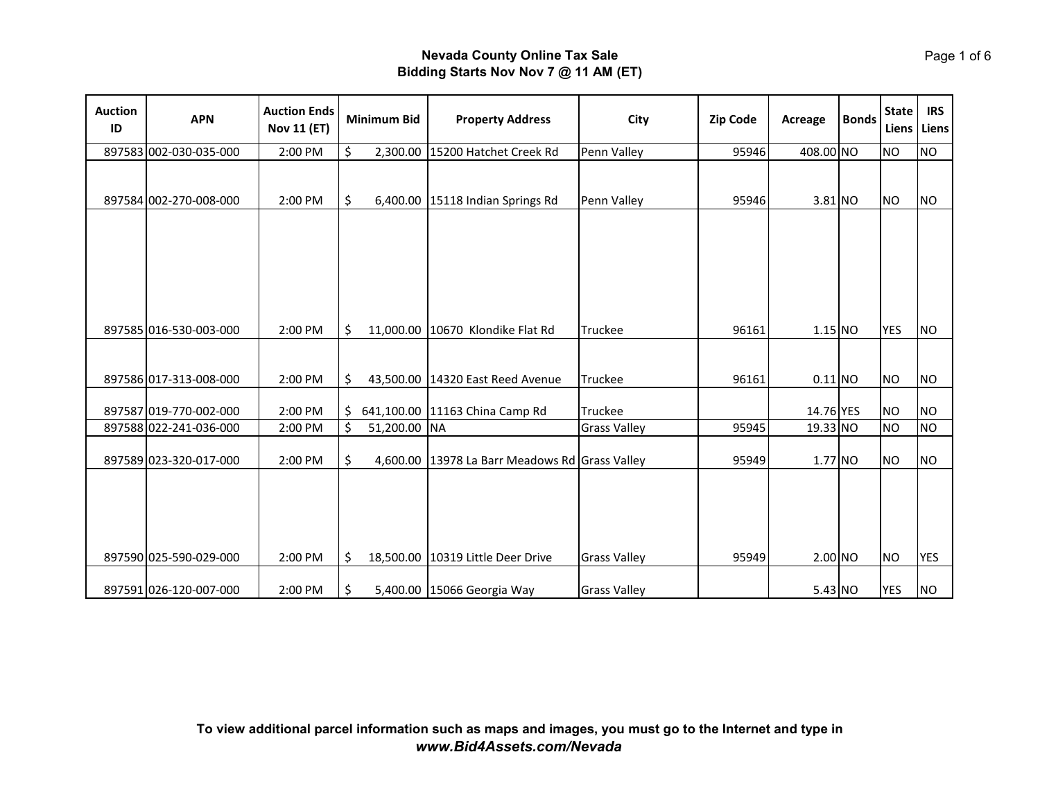| <b>Auction</b><br>ID | <b>APN</b>             | <b>Auction Ends</b><br><b>Nov 11 (ET)</b> | <b>Minimum Bid</b> | <b>Property Address</b>                        | City                | <b>Zip Code</b> | Acreage   | <b>Bonds</b> | <b>State</b> | <b>IRS</b><br>Liens Liens |
|----------------------|------------------------|-------------------------------------------|--------------------|------------------------------------------------|---------------------|-----------------|-----------|--------------|--------------|---------------------------|
|                      | 897583 002-030-035-000 | 2:00 PM                                   | \$<br>2,300.00     | 15200 Hatchet Creek Rd                         | Penn Valley         | 95946           | 408.00 NO |              | <b>NO</b>    | <b>NO</b>                 |
|                      | 897584 002-270-008-000 | 2:00 PM                                   | \$                 | 6,400.00 15118 Indian Springs Rd               | Penn Valley         | 95946           | $3.81$ NO |              | <b>NO</b>    | <b>NO</b>                 |
|                      | 897585 016-530-003-000 | 2:00 PM                                   | \$                 | 11,000.00 10670 Klondike Flat Rd               | <b>Truckee</b>      | 96161           | 1.15 NO   |              | <b>YES</b>   | <b>NO</b>                 |
|                      |                        |                                           |                    |                                                |                     |                 |           |              |              |                           |
|                      | 897586 017-313-008-000 | 2:00 PM                                   | \$                 | 43,500.00 14320 East Reed Avenue               | Truckee             | 96161           | 0.11 NO   |              | <b>NO</b>    | <b>NO</b>                 |
|                      | 897587 019-770-002-000 | 2:00 PM                                   | \$                 | 641,100.00 11163 China Camp Rd                 | Truckee             |                 | 14.76 YES |              | <b>NO</b>    | <b>NO</b>                 |
|                      | 897588 022-241-036-000 | 2:00 PM                                   | \$<br>51,200.00 NA |                                                | <b>Grass Valley</b> | 95945           | 19.33 NO  |              | <b>NO</b>    | <b>NO</b>                 |
|                      | 897589 023-320-017-000 | 2:00 PM                                   | \$                 | 4,600.00 13978 La Barr Meadows Rd Grass Valley |                     | 95949           | $1.77$ NO |              | <b>NO</b>    | <b>NO</b>                 |
|                      | 897590 025-590-029-000 | 2:00 PM                                   | \$                 | 18,500.00 10319 Little Deer Drive              | <b>Grass Valley</b> | 95949           | $2.00$ NO |              | <b>NO</b>    | <b>YES</b>                |
|                      | 897591 026-120-007-000 | 2:00 PM                                   | \$                 | 5,400.00 15066 Georgia Way                     | <b>Grass Valley</b> |                 | 5.43 NO   |              | YES          | <b>NO</b>                 |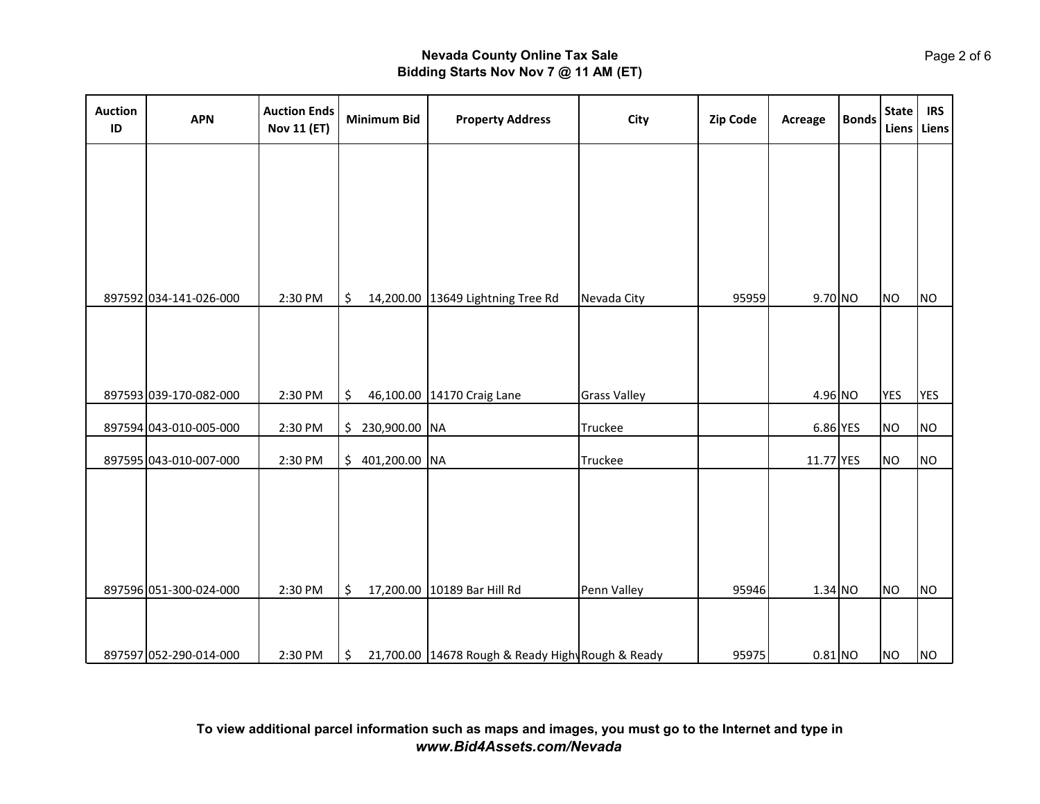| <b>Auction</b><br>ID | <b>APN</b>             | <b>Auction Ends</b><br><b>Nov 11 (ET)</b> | <b>Minimum Bid</b> | <b>Property Address</b>                          | City                | <b>Zip Code</b> | Acreage    | <b>Bonds</b> | <b>State</b> | <b>IRS</b><br>Liens Liens |
|----------------------|------------------------|-------------------------------------------|--------------------|--------------------------------------------------|---------------------|-----------------|------------|--------------|--------------|---------------------------|
|                      |                        |                                           |                    |                                                  |                     |                 |            |              |              |                           |
|                      |                        |                                           |                    |                                                  |                     |                 |            |              |              |                           |
|                      |                        |                                           |                    |                                                  |                     |                 |            |              |              |                           |
|                      |                        |                                           | \$                 |                                                  |                     | 95959           |            |              | <b>NO</b>    | N <sub>O</sub>            |
|                      | 897592 034-141-026-000 | 2:30 PM                                   |                    | 14,200.00 13649 Lightning Tree Rd                | Nevada City         |                 | $9.70$ NO  |              |              |                           |
|                      |                        |                                           |                    |                                                  |                     |                 |            |              |              |                           |
|                      | 897593 039-170-082-000 | 2:30 PM                                   | \$                 | 46,100.00 14170 Craig Lane                       | <b>Grass Valley</b> |                 | 4.96 NO    |              | <b>YES</b>   | <b>YES</b>                |
|                      | 897594 043-010-005-000 | 2:30 PM                                   | $$230,900.00$ NA   |                                                  | Truckee             |                 | $6.86$ YES |              | <b>NO</b>    | N <sub>O</sub>            |
|                      | 897595 043-010-007-000 | 2:30 PM                                   | $$401,200.00$ NA   |                                                  | Truckee             |                 | 11.77 YES  |              | <b>NO</b>    | <b>NO</b>                 |
|                      |                        |                                           |                    |                                                  |                     |                 |            |              |              |                           |
|                      |                        |                                           |                    |                                                  |                     |                 |            |              |              |                           |
|                      |                        |                                           |                    |                                                  |                     |                 |            |              |              |                           |
|                      | 897596 051-300-024-000 | 2:30 PM                                   | \$                 | 17,200.00 10189 Bar Hill Rd                      | Penn Valley         | 95946           | 1.34 NO    |              | <b>NO</b>    | N <sub>O</sub>            |
|                      |                        |                                           |                    |                                                  |                     |                 |            |              |              |                           |
|                      | 897597 052-290-014-000 | 2:30 PM                                   | \$                 | 21,700.00 14678 Rough & Ready High Rough & Ready |                     | 95975           | $0.81$ NO  |              | <b>NO</b>    | N <sub>O</sub>            |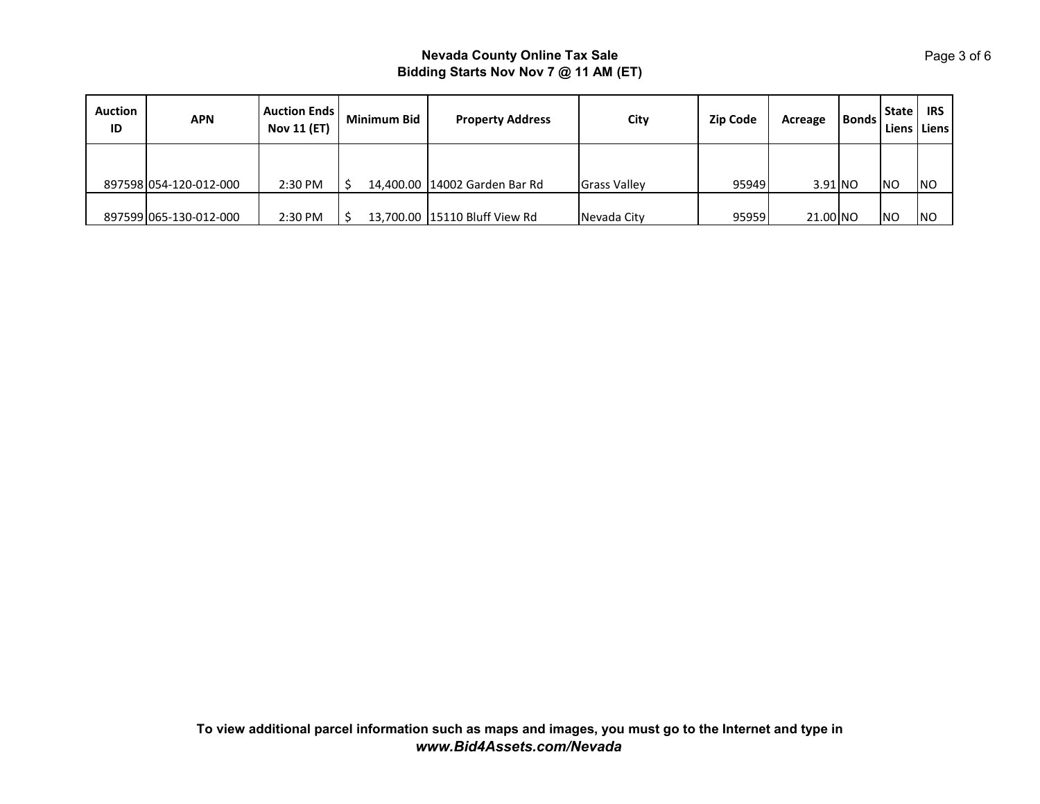| <b>Auction</b><br>ID | <b>APN</b>             | <b>Auction Ends</b><br><b>Nov 11 (ET)</b> | <b>Minimum Bid</b> | <b>Property Address</b>         | City                | <b>Zip Code</b> | Acreage   | Bonds | <b>State</b><br>Liens | <b>IRS</b><br>Liens |
|----------------------|------------------------|-------------------------------------------|--------------------|---------------------------------|---------------------|-----------------|-----------|-------|-----------------------|---------------------|
|                      | 897598 054-120-012-000 | 2:30 PM                                   |                    | 14,400.00 14002 Garden Bar Rd   | <b>Grass Valley</b> | 95949           | $3.91$ NO |       | <b>NO</b>             | <b>NO</b>           |
|                      | 897599 065-130-012-000 | 2:30 PM                                   |                    | 13,700.00   15110 Bluff View Rd | Nevada Citv         | 95959           | 21.00 NO  |       | N <sub>O</sub>        | <b>NO</b>           |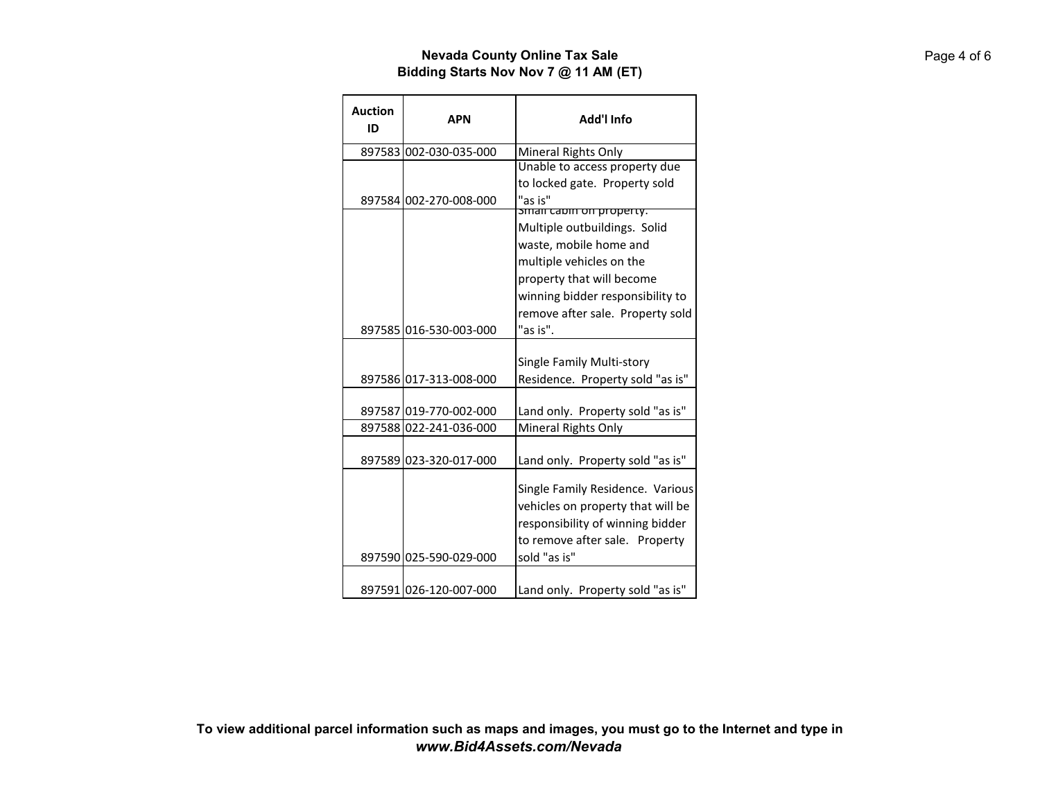| <b>Auction</b><br>ID | <b>APN</b>             | Add'l Info                                              |
|----------------------|------------------------|---------------------------------------------------------|
|                      | 897583 002-030-035-000 | Mineral Rights Only                                     |
|                      |                        | Unable to access property due                           |
|                      |                        | to locked gate. Property sold                           |
|                      | 897584 002-270-008-000 | "as is"                                                 |
|                      |                        | sman capin on property.<br>Multiple outbuildings. Solid |
|                      |                        | waste, mobile home and                                  |
|                      |                        |                                                         |
|                      |                        | multiple vehicles on the                                |
|                      |                        | property that will become                               |
|                      |                        | winning bidder responsibility to                        |
|                      |                        | remove after sale. Property sold                        |
|                      | 897585 016-530-003-000 | "as is".                                                |
|                      |                        | Single Family Multi-story                               |
|                      | 897586 017-313-008-000 | Residence. Property sold "as is"                        |
|                      |                        |                                                         |
|                      | 897587 019-770-002-000 | Land only. Property sold "as is"                        |
|                      | 897588 022-241-036-000 | Mineral Rights Only                                     |
|                      |                        |                                                         |
|                      | 897589 023-320-017-000 | Land only. Property sold "as is"                        |
|                      |                        | Single Family Residence. Various                        |
|                      |                        | vehicles on property that will be                       |
|                      |                        | responsibility of winning bidder                        |
|                      |                        | to remove after sale. Property                          |
|                      | 897590 025-590-029-000 | sold "as is"                                            |
|                      |                        |                                                         |
|                      | 897591 026-120-007-000 | Land only. Property sold "as is"                        |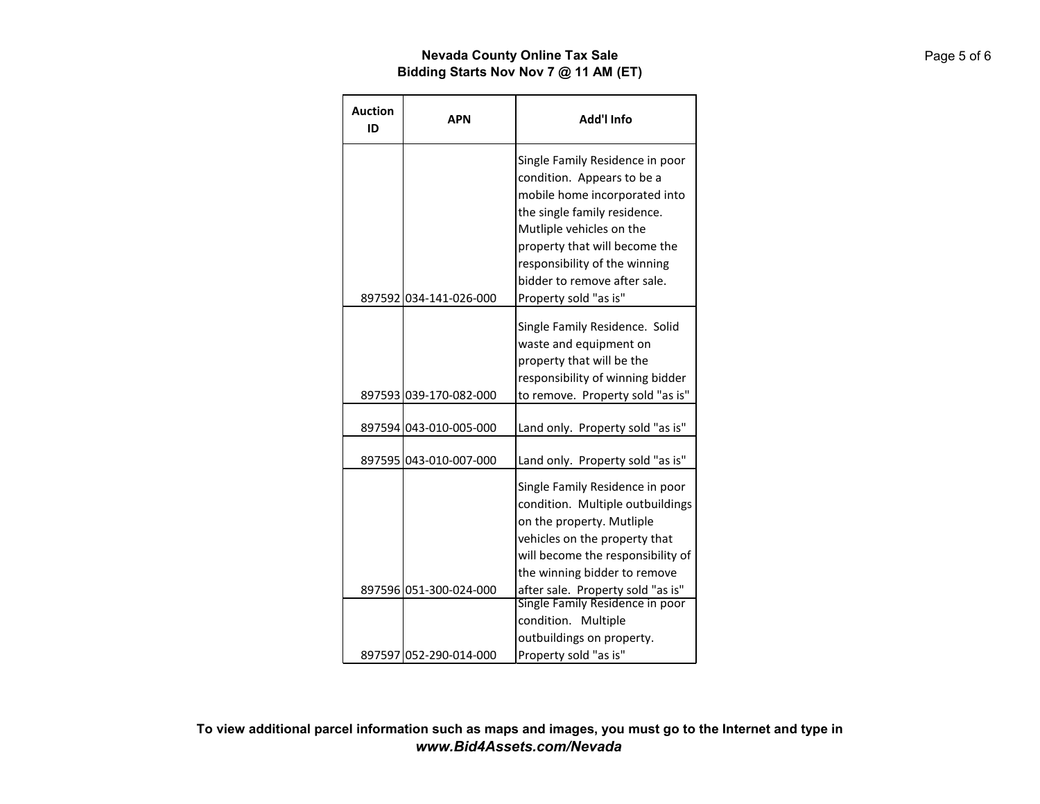| <b>Auction</b><br>ID | <b>APN</b>             | Add'l Info                                                                                                                                                                                                                                                                            |
|----------------------|------------------------|---------------------------------------------------------------------------------------------------------------------------------------------------------------------------------------------------------------------------------------------------------------------------------------|
|                      | 897592 034-141-026-000 | Single Family Residence in poor<br>condition. Appears to be a<br>mobile home incorporated into<br>the single family residence.<br>Mutliple vehicles on the<br>property that will become the<br>responsibility of the winning<br>bidder to remove after sale.<br>Property sold "as is" |
|                      | 897593 039-170-082-000 | Single Family Residence. Solid<br>waste and equipment on<br>property that will be the<br>responsibility of winning bidder<br>to remove. Property sold "as is"                                                                                                                         |
|                      | 897594 043-010-005-000 | Land only. Property sold "as is"                                                                                                                                                                                                                                                      |
|                      | 897595 043-010-007-000 | Land only. Property sold "as is"                                                                                                                                                                                                                                                      |
|                      |                        | Single Family Residence in poor<br>condition. Multiple outbuildings<br>on the property. Mutliple<br>vehicles on the property that<br>will become the responsibility of<br>the winning bidder to remove                                                                                |
|                      | 897596 051-300-024-000 | after sale. Property sold "as is"                                                                                                                                                                                                                                                     |
|                      | 897597 052-290-014-000 | Single Family Residence in poor<br>condition. Multiple<br>outbuildings on property.<br>Property sold "as is"                                                                                                                                                                          |

**To view additional parcel information such as maps and images, you must go to the Internet and type in** *www.Bid4Assets.com/Nevada*